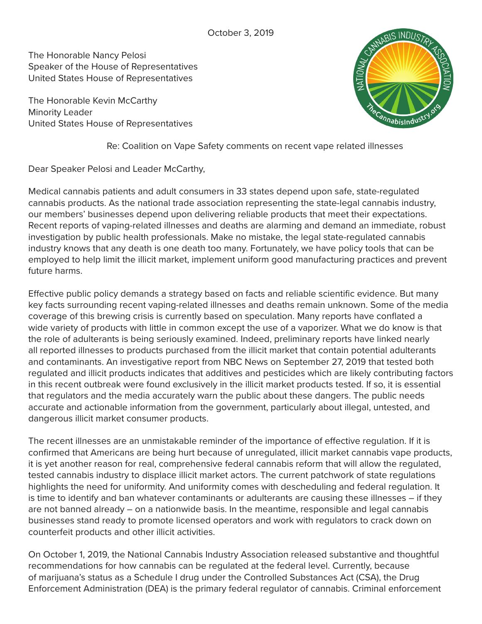The Honorable Nancy Pelosi Speaker of the House of Representatives United States House of Representatives

The Honorable Kevin McCarthy Minority Leader United States House of Representatives



Re: Coalition on Vape Safety comments on recent vape related illnesses

Dear Speaker Pelosi and Leader McCarthy,

Medical cannabis patients and adult consumers in 33 states depend upon safe, state-regulated cannabis products. As the national trade association representing the state-legal cannabis industry, our members' businesses depend upon delivering reliable products that meet their expectations. Recent reports of vaping-related illnesses and deaths are alarming and demand an immediate, robust investigation by public health professionals. Make no mistake, the legal state-regulated cannabis industry knows that any death is one death too many. Fortunately, we have policy tools that can be employed to help limit the illicit market, implement uniform good manufacturing practices and prevent future harms.

Effective public policy demands a strategy based on facts and reliable scientific evidence. But many key facts surrounding recent vaping-related illnesses and deaths remain unknown. Some of the media coverage of this brewing crisis is currently based on speculation. Many reports have conflated a wide variety of products with little in common except the use of a vaporizer. What we do know is that the role of adulterants is being seriously examined. Indeed, preliminary reports have linked nearly all reported illnesses to products purchased from the illicit market that contain potential adulterants and contaminants. An investigative report from NBC News on September 27, 2019 that tested both regulated and illicit products indicates that additives and pesticides which are likely contributing factors in this recent outbreak were found exclusively in the illicit market products tested. If so, it is essential that regulators and the media accurately warn the public about these dangers. The public needs accurate and actionable information from the government, particularly about illegal, untested, and dangerous illicit market consumer products.

The recent illnesses are an unmistakable reminder of the importance of effective regulation. If it is confirmed that Americans are being hurt because of unregulated, illicit market cannabis vape products, it is yet another reason for real, comprehensive federal cannabis reform that will allow the regulated, tested cannabis industry to displace illicit market actors. The current patchwork of state regulations highlights the need for uniformity. And uniformity comes with descheduling and federal regulation. It is time to identify and ban whatever contaminants or adulterants are causing these illnesses – if they are not banned already – on a nationwide basis. In the meantime, responsible and legal cannabis businesses stand ready to promote licensed operators and work with regulators to crack down on counterfeit products and other illicit activities.

On October 1, 2019, the National Cannabis Industry Association released substantive and thoughtful recommendations for how cannabis can be regulated at the federal level. Currently, because of marijuana's status as a Schedule I drug under the Controlled Substances Act (CSA), the Drug Enforcement Administration (DEA) is the primary federal regulator of cannabis. Criminal enforcement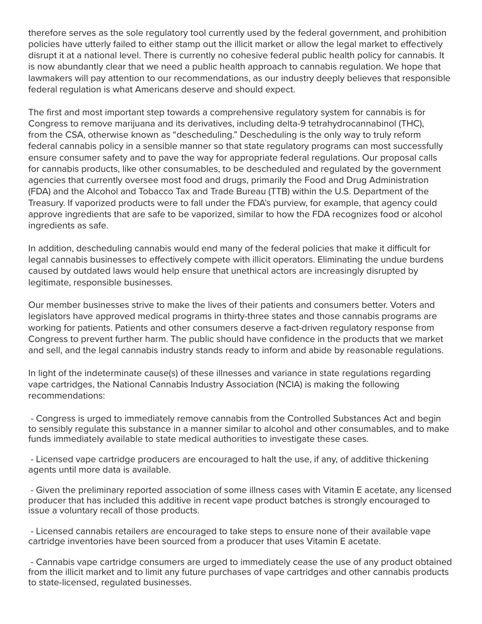therefore serves as the sole regulatory tool currently used by the federal government, and prohibition policies have utterly failed to either stamp out the illicit market or allow the legal market to effectively disrupt it at a national level. There is currently no cohesive federal public health policy for cannabis. It is now abundantly clear that we need a public health approach to cannabis regulation. We hope that lawmakers will pay attention to our recommendations, as our industry deeply believes that responsible federal regulation is what Americans deserve and should expect.

The first and most important step towards a comprehensive regulatory system for cannabis is for Congress to remove marijuana and its derivatives, including delta-9 tetrahydrocannabinol (THC), from the CSA, otherwise known as "descheduling." Descheduling is the only way to truly reform federal cannabis policy in a sensible manner so that state regulatory programs can most successfully ensure consumer safety and to pave the way for appropriate federal regulations. Our proposal calls for cannabis products, like other consumables, to be descheduled and regulated by the government agencies that currently oversee most food and drugs, primarily the Food and Drug Administration (FDA) and the Alcohol and Tobacco Tax and Trade Bureau (TTB) within the U.S. Department of the Treasury. If vaporized products were to fall under the FDA's purview, for example, that agency could approve ingredients that are safe to be vaporized, similar to how the FDA recognizes food or alcohol ingredients as safe.

In addition, descheduling cannabis would end many of the federal policies that make it difficult for legal cannabis businesses to effectively compete with illicit operators. Eliminating the undue burdens caused by outdated laws would help ensure that unethical actors are increasingly disrupted by legitimate, responsible businesses.

Our member businesses strive to make the lives of their patients and consumers better. Voters and legislators have approved medical programs in thirty-three states and those cannabis programs are working for patients. Patients and other consumers deserve a fact-driven regulatory response from Congress to prevent further harm. The public should have confidence in the products that we market and sell, and the legal cannabis industry stands ready to inform and abide by reasonable regulations.

In light of the indeterminate cause(s) of these illnesses and variance in state regulations regarding vape cartridges, the National Cannabis Industry Association (NCIA) is making the following recommendations:

 - Congress is urged to immediately remove cannabis from the Controlled Substances Act and begin to sensibly regulate this substance in a manner similar to alcohol and other consumables, and to make funds immediately available to state medical authorities to investigate these cases.

 - Licensed vape cartridge producers are encouraged to halt the use, if any, of additive thickening agents until more data is available.

 - Given the preliminary reported association of some illness cases with Vitamin E acetate, any licensed producer that has included this additive in recent vape product batches is strongly encouraged to issue a voluntary recall of those products.

 - Licensed cannabis retailers are encouraged to take steps to ensure none of their available vape cartridge inventories have been sourced from a producer that uses Vitamin E acetate.

 - Cannabis vape cartridge consumers are urged to immediately cease the use of any product obtained from the illicit market and to limit any future purchases of vape cartridges and other cannabis products to state-licensed, regulated businesses.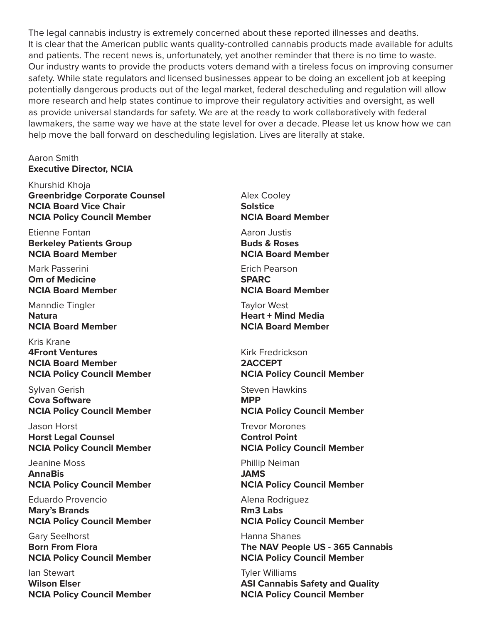The legal cannabis industry is extremely concerned about these reported illnesses and deaths. It is clear that the American public wants quality-controlled cannabis products made available for adults and patients. The recent news is, unfortunately, yet another reminder that there is no time to waste. Our industry wants to provide the products voters demand with a tireless focus on improving consumer safety. While state regulators and licensed businesses appear to be doing an excellent job at keeping potentially dangerous products out of the legal market, federal descheduling and regulation will allow more research and help states continue to improve their regulatory activities and oversight, as well as provide universal standards for safety. We are at the ready to work collaboratively with federal lawmakers, the same way we have at the state level for over a decade. Please let us know how we can help move the ball forward on descheduling legislation. Lives are literally at stake.

#### Aaron Smith **Executive Director, NCIA**

Khurshid Khoja **Greenbridge Corporate Counsel NCIA Board Vice Chair NCIA Policy Council Member**

Etienne Fontan **Berkeley Patients Group NCIA Board Member**

Mark Passerini **Om of Medicine NCIA Board Member**

Manndie Tingler **Natura NCIA Board Member**

Kris Krane **4Front Ventures NCIA Board Member NCIA Policy Council Member**

Sylvan Gerish **Cova Software NCIA Policy Council Member**

Jason Horst **Horst Legal Counsel NCIA Policy Council Member**

Jeanine Moss **AnnaBis NCIA Policy Council Member**

Eduardo Provencio **Mary's Brands NCIA Policy Council Member**

Gary Seelhorst **Born From Flora NCIA Policy Council Member**

Ian Stewart **Wilson Elser NCIA Policy Council Member** Alex Cooley **Solstice NCIA Board Member**

Aaron Justis **Buds & Roses NCIA Board Member**

Erich Pearson **SPARC NCIA Board Member**

Taylor West **Heart + Mind Media NCIA Board Member**

Kirk Fredrickson **2ACCEPT NCIA Policy Council Member**

Steven Hawkins **MPP NCIA Policy Council Member**

Trevor Morones **Control Point NCIA Policy Council Member**

Phillip Neiman **JAMS NCIA Policy Council Member**

Alena Rodriguez **Rm3 Labs NCIA Policy Council Member**

Hanna Shanes **The NAV People US - 365 Cannabis NCIA Policy Council Member**

Tyler Williams **ASI Cannabis Safety and Quality NCIA Policy Council Member**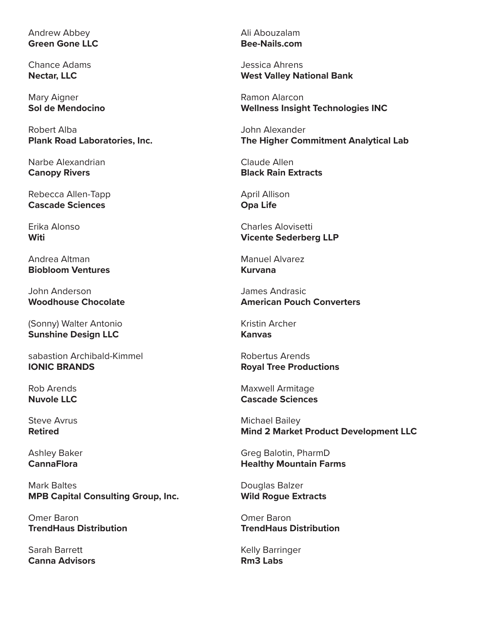## Andrew Abbey **Green Gone LLC**

Chance Adams **Nectar, LLC**

Mary Aigner **Sol de Mendocino**

Robert Alba **Plank Road Laboratories, Inc.**

Narbe Alexandrian **Canopy Rivers**

Rebecca Allen-Tapp **Cascade Sciences**

Erika Alonso **Witi**

Andrea Altman **Biobloom Ventures**

John Anderson **Woodhouse Chocolate**

(Sonny) Walter Antonio **Sunshine Design LLC**

sabastion Archibald-Kimmel **IONIC BRANDS**

Rob Arends **Nuvole LLC**

Steve Avrus **Retired**

Ashley Baker **CannaFlora**

Mark Baltes **MPB Capital Consulting Group, Inc.**

Omer Baron **TrendHaus Distribution**

Sarah Barrett **Canna Advisors** Ali Abouzalam **Bee-Nails.com**

Jessica Ahrens **West Valley National Bank**

Ramon Alarcon **Wellness Insight Technologies INC**

John Alexander **The Higher Commitment Analytical Lab**

Claude Allen **Black Rain Extracts**

April Allison **Opa Life**

Charles Alovisetti **Vicente Sederberg LLP**

Manuel Alvarez **Kurvana**

James Andrasic **American Pouch Converters**

Kristin Archer **Kanvas**

Robertus Arends **Royal Tree Productions**

Maxwell Armitage **Cascade Sciences**

Michael Bailey **Mind 2 Market Product Development LLC**

Greg Balotin, PharmD **Healthy Mountain Farms**

Douglas Balzer **Wild Rogue Extracts**

Omer Baron **TrendHaus Distribution**

Kelly Barringer **Rm3 Labs**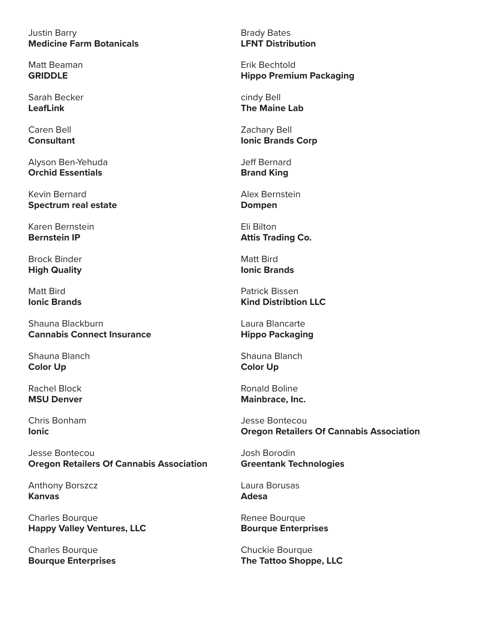Justin Barry **Medicine Farm Botanicals**

Matt Beaman **GRIDDLE**

Sarah Becker **LeafLink**

Caren Bell **Consultant**

Alyson Ben-Yehuda **Orchid Essentials**

Kevin Bernard **Spectrum real estate**

Karen Bernstein **Bernstein IP**

Brock Binder **High Quality**

Matt Bird **Ionic Brands**

Shauna Blackburn **Cannabis Connect Insurance**

Shauna Blanch **Color Up**

Rachel Block **MSU Denver**

Chris Bonham **Ionic**

Jesse Bontecou **Oregon Retailers Of Cannabis Association**

Anthony Borszcz **Kanvas**

Charles Bourque **Happy Valley Ventures, LLC**

Charles Bourque **Bourque Enterprises** Brady Bates **LFNT Distribution**

Erik Bechtold **Hippo Premium Packaging**

cindy Bell **The Maine Lab**

Zachary Bell **Ionic Brands Corp**

Jeff Bernard **Brand King**

Alex Bernstein **Dompen**

Eli Bilton **Attis Trading Co.**

Matt Bird **Ionic Brands**

Patrick Bissen **Kind Distribtion LLC**

Laura Blancarte **Hippo Packaging**

Shauna Blanch **Color Up**

Ronald Boline **Mainbrace, Inc.**

Jesse Bontecou **Oregon Retailers Of Cannabis Association**

Josh Borodin **Greentank Technologies**

Laura Borusas **Adesa**

Renee Bourque **Bourque Enterprises**

Chuckie Bourque **The Tattoo Shoppe, LLC**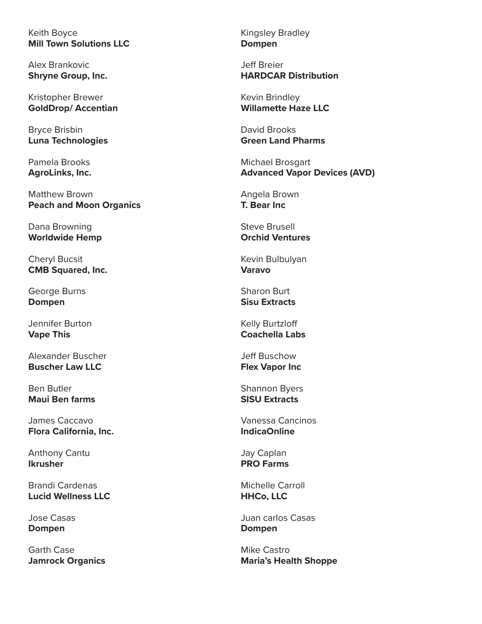Keith Boyce **Mill Town Solutions LLC**

Alex Brankovic **Shryne Group, Inc.**

Kristopher Brewer **GoldDrop/ Accentian**

Bryce Brisbin **Luna Technologies**

Pamela Brooks **AgroLinks, Inc.**

Matthew Brown **Peach and Moon Organics**

Dana Browning **Worldwide Hemp**

Cheryl Bucsit **CMB Squared, Inc.**

George Burns **Dompen**

Jennifer Burton **Vape This**

Alexander Buscher **Buscher Law LLC**

Ben Butler **Maui Ben farms**

James Caccavo **Flora California, Inc.**

Anthony Cantu **Ikrusher**

Brandi Cardenas **Lucid Wellness LLC**

Jose Casas **Dompen**

Garth Case **Jamrock Organics** Kingsley Bradley **Dompen**

Jeff Breier **HARDCAR Distribution**

Kevin Brindley **Willamette Haze LLC**

David Brooks **Green Land Pharms**

Michael Brosgart **Advanced Vapor Devices (AVD)**

Angela Brown **T. Bear Inc**

Steve Brusell **Orchid Ventures**

Kevin Bulbulyan **Varavo**

Sharon Burt **Sisu Extracts**

Kelly Burtzloff **Coachella Labs**

Jeff Buschow **Flex Vapor Inc**

Shannon Byers **SISU Extracts**

Vanessa Cancinos **IndicaOnline**

Jay Caplan **PRO Farms**

Michelle Carroll **HHCo, LLC**

Juan carlos Casas **Dompen**

Mike Castro **Maria's Health Shoppe**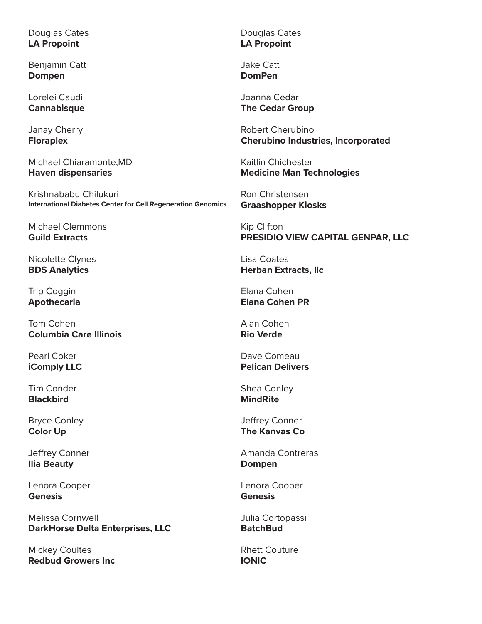Douglas Cates **LA Propoint**

Benjamin Catt **Dompen**

Lorelei Caudill **Cannabisque**

Janay Cherry **Floraplex**

Michael Chiaramonte,MD **Haven dispensaries**

Krishnababu Chilukuri **International Diabetes Center for Cell Regeneration Genomics**

Michael Clemmons **Guild Extracts**

Nicolette Clynes **BDS Analytics**

Trip Coggin **Apothecaria**

Tom Cohen **Columbia Care Illinois**

Pearl Coker **iComply LLC**

Tim Conder **Blackbird**

Bryce Conley **Color Up**

Jeffrey Conner **Ilia Beauty**

Lenora Cooper **Genesis**

Melissa Cornwell **DarkHorse Delta Enterprises, LLC**

Mickey Coultes **Redbud Growers Inc** Douglas Cates **LA Propoint**

Jake Catt **DomPen**

Joanna Cedar **The Cedar Group**

Robert Cherubino **Cherubino Industries, Incorporated**

Kaitlin Chichester **Medicine Man Technologies**

Ron Christensen **Graashopper Kiosks**

Kip Clifton **PRESIDIO VIEW CAPITAL GENPAR, LLC**

Lisa Coates **Herban Extracts, llc**

Elana Cohen **Elana Cohen PR**

Alan Cohen **Rio Verde**

Dave Comeau **Pelican Delivers**

Shea Conley **MindRite**

Jeffrey Conner **The Kanvas Co**

Amanda Contreras **Dompen**

Lenora Cooper **Genesis**

Julia Cortopassi **BatchBud**

Rhett Couture **IONIC**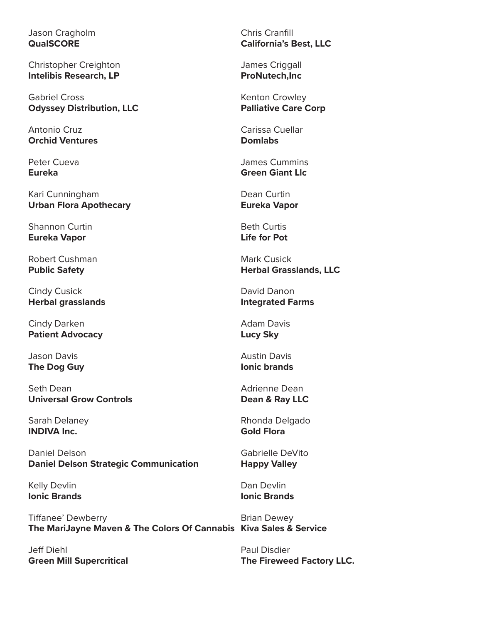Jason Cragholm **QualSCORE**

Christopher Creighton **Intelibis Research, LP**

Gabriel Cross **Odyssey Distribution, LLC**

Antonio Cruz **Orchid Ventures**

Peter Cueva **Eureka**

Kari Cunningham **Urban Flora Apothecary**

Shannon Curtin **Eureka Vapor**

Robert Cushman **Public Safety**

Cindy Cusick **Herbal grasslands**

Cindy Darken **Patient Advocacy**

Jason Davis **The Dog Guy**

Seth Dean **Universal Grow Controls**

Sarah Delaney **INDIVA Inc.**

Daniel Delson **Daniel Delson Strategic Communication**

Kelly Devlin **Ionic Brands**

Tiffanee' Dewberry **The MariJayne Maven & The Colors Of Cannabis Kiva Sales & Service**

Jeff Diehl **Green Mill Supercritical** Chris Cranfill **California's Best, LLC**

James Criggall **ProNutech,Inc**

Kenton Crowley **Palliative Care Corp**

Carissa Cuellar **Domlabs**

James Cummins **Green Giant Llc**

Dean Curtin **Eureka Vapor**

Beth Curtis **Life for Pot**

Mark Cusick **Herbal Grasslands, LLC**

David Danon **Integrated Farms**

Adam Davis **Lucy Sky**

Austin Davis **Ionic brands**

Adrienne Dean **Dean & Ray LLC**

Rhonda Delgado **Gold Flora**

Gabrielle DeVito **Happy Valley**

Dan Devlin **Ionic Brands**

Brian Dewey

Paul Disdier **The Fireweed Factory LLC.**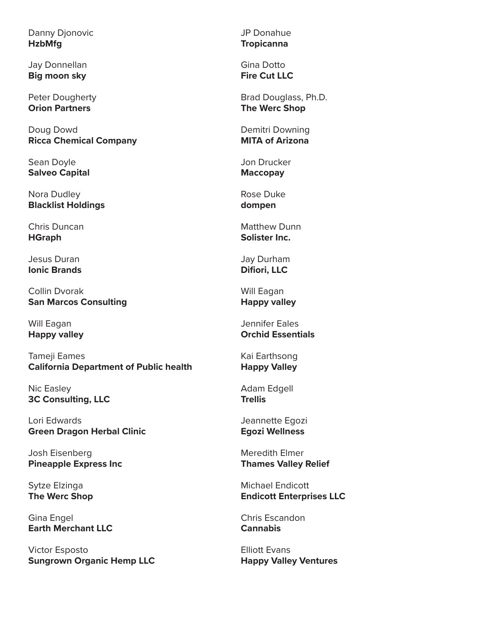Danny Djonovic **HzbMfg**

Jay Donnellan **Big moon sky**

Peter Dougherty **Orion Partners**

Doug Dowd **Ricca Chemical Company**

Sean Doyle **Salveo Capital**

Nora Dudley **Blacklist Holdings**

Chris Duncan **HGraph**

Jesus Duran **Ionic Brands**

Collin Dvorak **San Marcos Consulting**

Will Eagan **Happy valley**

Tameji Eames **California Department of Public health**

Nic Easley **3C Consulting, LLC**

Lori Edwards **Green Dragon Herbal Clinic**

Josh Eisenberg **Pineapple Express Inc**

Sytze Elzinga **The Werc Shop**

Gina Engel **Earth Merchant LLC**

Victor Esposto **Sungrown Organic Hemp LLC** JP Donahue **Tropicanna**

Gina Dotto **Fire Cut LLC**

Brad Douglass, Ph.D. **The Werc Shop**

Demitri Downing **MITA of Arizona**

Jon Drucker **Maccopay**

Rose Duke **dompen**

Matthew Dunn **Solister Inc.**

Jay Durham **Difiori, LLC**

Will Eagan **Happy valley**

Jennifer Eales **Orchid Essentials**

Kai Earthsong **Happy Valley**

Adam Edgell **Trellis**

Jeannette Egozi **Egozi Wellness**

Meredith Elmer **Thames Valley Relief**

Michael Endicott **Endicott Enterprises LLC**

Chris Escandon **Cannabis**

Elliott Evans **Happy Valley Ventures**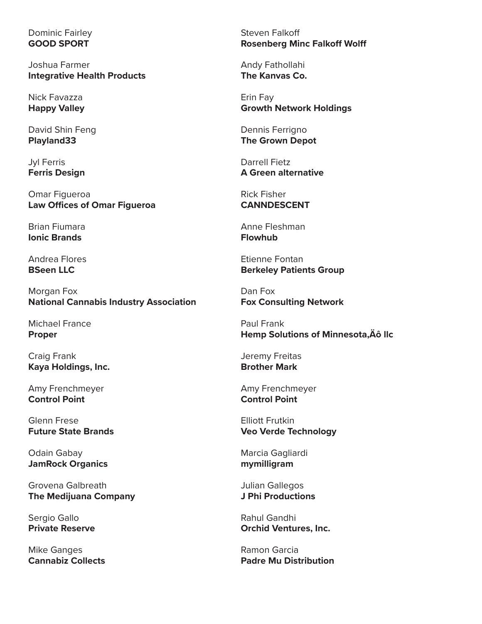## Dominic Fairley **GOOD SPORT**

Joshua Farmer **Integrative Health Products**

Nick Favazza **Happy Valley**

David Shin Feng **Playland33**

Jyl Ferris **Ferris Design**

Omar Figueroa **Law Offices of Omar Figueroa**

Brian Fiumara **Ionic Brands**

Andrea Flores **BSeen LLC**

Morgan Fox **National Cannabis Industry Association**

Michael France **Proper**

Craig Frank **Kaya Holdings, Inc.**

Amy Frenchmeyer **Control Point**

Glenn Frese **Future State Brands**

Odain Gabay **JamRock Organics**

Grovena Galbreath **The Medijuana Company**

Sergio Gallo **Private Reserve**

Mike Ganges **Cannabiz Collects** Steven Falkoff **Rosenberg Minc Falkoff Wolff**

Andy Fathollahi **The Kanvas Co.**

Erin Fay **Growth Network Holdings**

Dennis Ferrigno **The Grown Depot**

Darrell Fietz **A Green alternative**

Rick Fisher **CANNDESCENT**

Anne Fleshman **Flowhub**

Etienne Fontan **Berkeley Patients Group**

Dan Fox **Fox Consulting Network**

Paul Frank **Hemp Solutions of Minnesota, Äô Ilc** 

Jeremy Freitas **Brother Mark**

Amy Frenchmeyer **Control Point**

Elliott Frutkin **Veo Verde Technology**

Marcia Gagliardi **mymilligram**

Julian Gallegos **J Phi Productions**

Rahul Gandhi **Orchid Ventures, Inc.**

Ramon Garcia **Padre Mu Distribution**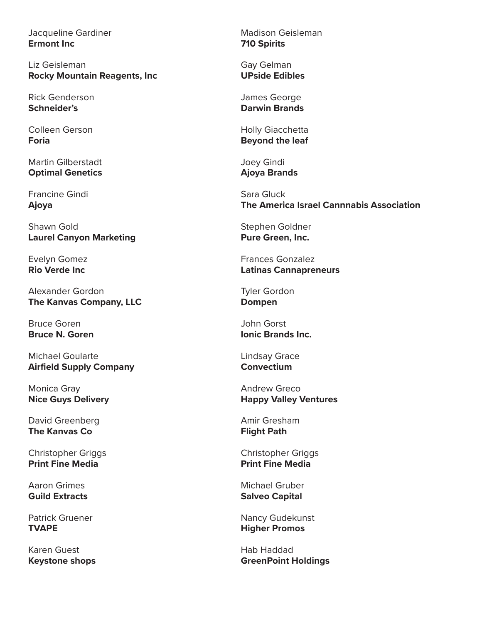Jacqueline Gardiner **Ermont Inc**

Liz Geisleman **Rocky Mountain Reagents, Inc**

Rick Genderson **Schneider's**

Colleen Gerson **Foria**

Martin Gilberstadt **Optimal Genetics**

Francine Gindi **Ajoya**

Shawn Gold **Laurel Canyon Marketing**

Evelyn Gomez **Rio Verde Inc**

Alexander Gordon **The Kanvas Company, LLC**

Bruce Goren **Bruce N. Goren**

Michael Goularte **Airfield Supply Company**

Monica Gray **Nice Guys Delivery**

David Greenberg **The Kanvas Co**

Christopher Griggs **Print Fine Media**

Aaron Grimes **Guild Extracts**

Patrick Gruener **TVAPE**

Karen Guest **Keystone shops** Madison Geisleman **710 Spirits**

Gay Gelman **UPside Edibles**

James George **Darwin Brands**

Holly Giacchetta **Beyond the leaf**

Joey Gindi **Ajoya Brands**

Sara Gluck **The America Israel Cannnabis Association**

Stephen Goldner **Pure Green, Inc.**

Frances Gonzalez **Latinas Cannapreneurs**

Tyler Gordon **Dompen**

John Gorst **Ionic Brands Inc.**

Lindsay Grace **Convectium**

Andrew Greco **Happy Valley Ventures**

Amir Gresham **Flight Path**

Christopher Griggs **Print Fine Media**

Michael Gruber **Salveo Capital**

Nancy Gudekunst **Higher Promos**

Hab Haddad **GreenPoint Holdings**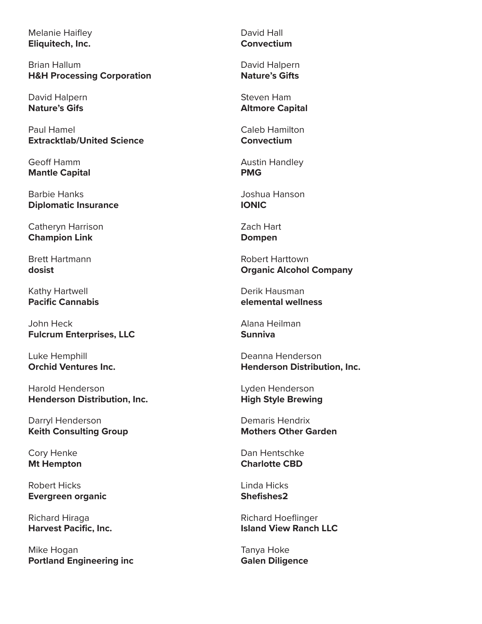Melanie Haifley **Eliquitech, Inc.**

Brian Hallum **H&H Processing Corporation**

David Halpern **Nature's Gifs**

Paul Hamel **Extracktlab/United Science**

Geoff Hamm **Mantle Capital**

Barbie Hanks **Diplomatic Insurance**

Catheryn Harrison **Champion Link**

Brett Hartmann **dosist**

Kathy Hartwell **Pacific Cannabis**

John Heck **Fulcrum Enterprises, LLC**

Luke Hemphill **Orchid Ventures Inc.**

Harold Henderson **Henderson Distribution, Inc.**

Darryl Henderson **Keith Consulting Group**

Cory Henke **Mt Hempton**

Robert Hicks **Evergreen organic**

Richard Hiraga **Harvest Pacific, Inc.**

Mike Hogan **Portland Engineering inc** David Hall **Convectium**

David Halpern **Nature's Gifts**

Steven Ham **Altmore Capital**

Caleb Hamilton **Convectium**

Austin Handley **PMG**

Joshua Hanson **IONIC**

Zach Hart **Dompen**

Robert Harttown **Organic Alcohol Company**

Derik Hausman **elemental wellness**

Alana Heilman **Sunniva**

Deanna Henderson **Henderson Distribution, Inc.**

Lyden Henderson **High Style Brewing**

Demaris Hendrix **Mothers Other Garden**

Dan Hentschke **Charlotte CBD**

Linda Hicks **Shefishes2**

Richard Hoeflinger **Island View Ranch LLC**

Tanya Hoke **Galen Diligence**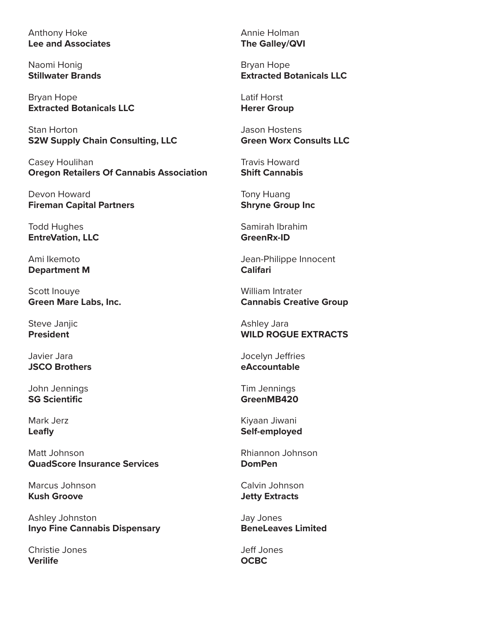Anthony Hoke **Lee and Associates**

Naomi Honig **Stillwater Brands**

Bryan Hope **Extracted Botanicals LLC**

Stan Horton **S2W Supply Chain Consulting, LLC**

Casey Houlihan **Oregon Retailers Of Cannabis Association**

Devon Howard **Fireman Capital Partners**

Todd Hughes **EntreVation, LLC**

Ami Ikemoto **Department M**

Scott Inouye **Green Mare Labs, Inc.**

Steve Janjic **President**

Javier Jara **JSCO Brothers**

John Jennings **SG Scientific**

Mark Jerz **Leafly**

Matt Johnson **QuadScore Insurance Services**

Marcus Johnson **Kush Groove**

Ashley Johnston **Inyo Fine Cannabis Dispensary**

Christie Jones **Verilife**

Annie Holman **The Galley/QVI**

Bryan Hope **Extracted Botanicals LLC**

Latif Horst **Herer Group**

Jason Hostens **Green Worx Consults LLC**

Travis Howard **Shift Cannabis**

Tony Huang **Shryne Group Inc**

Samirah Ibrahim **GreenRx-ID**

Jean-Philippe Innocent **Califari**

William Intrater **Cannabis Creative Group**

Ashley Jara **WILD ROGUE EXTRACTS**

Jocelyn Jeffries **eAccountable**

Tim Jennings **GreenMB420**

Kiyaan Jiwani **Self-employed**

Rhiannon Johnson **DomPen**

Calvin Johnson **Jetty Extracts**

Jay Jones **BeneLeaves Limited**

Jeff Jones **OCBC**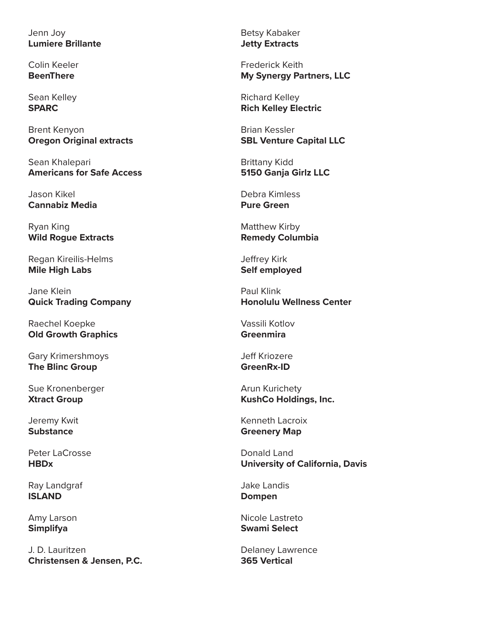Jenn Joy **Lumiere Brillante**

Colin Keeler **BeenThere**

Sean Kelley **SPARC**

Brent Kenyon **Oregon Original extracts**

Sean Khalepari **Americans for Safe Access**

Jason Kikel **Cannabiz Media**

Ryan King **Wild Rogue Extracts**

Regan Kireilis-Helms **Mile High Labs**

Jane Klein **Quick Trading Company**

Raechel Koepke **Old Growth Graphics**

Gary Krimershmoys **The Blinc Group**

Sue Kronenberger **Xtract Group**

Jeremy Kwit **Substance**

Peter LaCrosse **HBDx**

Ray Landgraf **ISLAND**

Amy Larson **Simplifya**

J. D. Lauritzen **Christensen & Jensen, P.C.** Betsy Kabaker **Jetty Extracts**

Frederick Keith **My Synergy Partners, LLC**

Richard Kelley **Rich Kelley Electric**

Brian Kessler **SBL Venture Capital LLC**

Brittany Kidd **5150 Ganja Girlz LLC**

Debra Kimless **Pure Green**

Matthew Kirby **Remedy Columbia**

Jeffrey Kirk **Self employed**

Paul Klink **Honolulu Wellness Center**

Vassili Kotlov **Greenmira**

Jeff Kriozere **GreenRx-ID**

Arun Kurichety **KushCo Holdings, Inc.**

Kenneth Lacroix **Greenery Map**

Donald Land **University of California, Davis**

Jake Landis **Dompen**

Nicole Lastreto **Swami Select**

Delaney Lawrence **365 Vertical**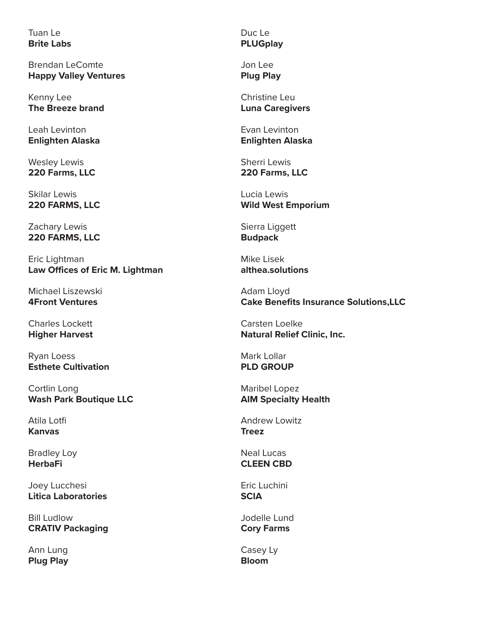Tuan Le **Brite Labs**

Brendan LeComte **Happy Valley Ventures**

Kenny Lee **The Breeze brand**

Leah Levinton **Enlighten Alaska**

Wesley Lewis **220 Farms, LLC**

Skilar Lewis **220 FARMS, LLC**

Zachary Lewis **220 FARMS, LLC**

Eric Lightman **Law Offices of Eric M. Lightman**

Michael Liszewski **4Front Ventures**

Charles Lockett **Higher Harvest**

Ryan Loess **Esthete Cultivation**

Cortlin Long **Wash Park Boutique LLC**

Atila Lotfi **Kanvas**

Bradley Loy **HerbaFi**

Joey Lucchesi **Litica Laboratories**

Bill Ludlow **CRATIV Packaging**

Ann Lung **Plug Play** Duc Le **PLUGplay**

Jon Lee **Plug Play**

Christine Leu **Luna Caregivers**

Evan Levinton **Enlighten Alaska**

Sherri Lewis **220 Farms, LLC**

Lucia Lewis **Wild West Emporium**

Sierra Liggett **Budpack**

Mike Lisek **althea.solutions**

Adam Lloyd **Cake Benefits Insurance Solutions,LLC**

Carsten Loelke **Natural Relief Clinic, Inc.**

Mark Lollar **PLD GROUP**

Maribel Lopez **AIM Specialty Health**

Andrew Lowitz **Treez**

Neal Lucas **CLEEN CBD**

Eric Luchini **SCIA**

Jodelle Lund **Cory Farms**

Casey Ly **Bloom**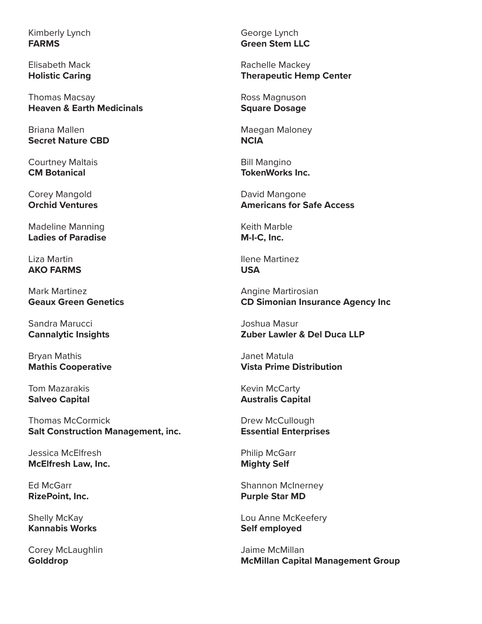Kimberly Lynch **FARMS**

Elisabeth Mack **Holistic Caring**

Thomas Macsay **Heaven & Earth Medicinals**

Briana Mallen **Secret Nature CBD**

Courtney Maltais **CM Botanical**

Corey Mangold **Orchid Ventures**

Madeline Manning **Ladies of Paradise**

Liza Martin **AKO FARMS**

Mark Martinez **Geaux Green Genetics**

Sandra Marucci **Cannalytic Insights**

Bryan Mathis **Mathis Cooperative**

Tom Mazarakis **Salveo Capital**

Thomas McCormick **Salt Construction Management, inc.**

Jessica McElfresh **McElfresh Law, Inc.**

Ed McGarr **RizePoint, Inc.**

Shelly McKay **Kannabis Works**

Corey McLaughlin **Golddrop**

George Lynch **Green Stem LLC**

Rachelle Mackey **Therapeutic Hemp Center**

Ross Magnuson **Square Dosage**

Maegan Maloney **NCIA**

Bill Mangino **TokenWorks Inc.**

David Mangone **Americans for Safe Access**

Keith Marble **M-I-C, Inc.**

Ilene Martinez **USA**

Angine Martirosian **CD Simonian Insurance Agency Inc**

Joshua Masur **Zuber Lawler & Del Duca LLP**

Janet Matula **Vista Prime Distribution**

Kevin McCarty **Australis Capital**

Drew McCullough **Essential Enterprises**

Philip McGarr **Mighty Self**

Shannon McInerney **Purple Star MD**

Lou Anne McKeefery **Self employed**

Jaime McMillan **McMillan Capital Management Group**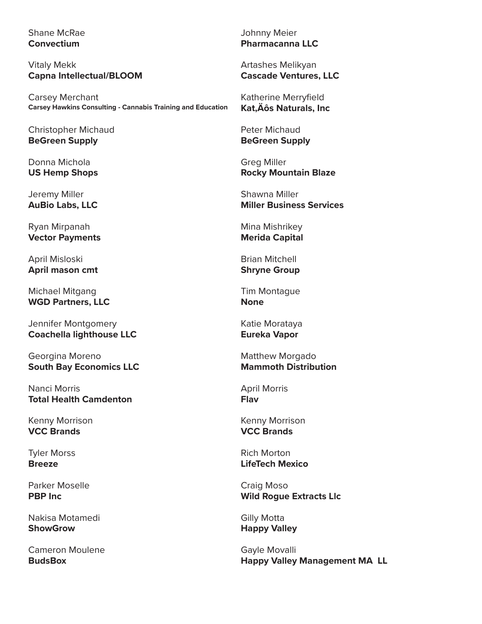## Shane McRae **Convectium**

Vitaly Mekk **Capna Intellectual/BLOOM**

Carsey Merchant **Carsey Hawkins Consulting - Cannabis Training and Education**

Christopher Michaud **BeGreen Supply**

Donna Michola **US Hemp Shops**

Jeremy Miller **AuBio Labs, LLC**

Ryan Mirpanah **Vector Payments**

April Misloski **April mason cmt**

Michael Mitgang **WGD Partners, LLC**

Jennifer Montgomery **Coachella lighthouse LLC**

Georgina Moreno **South Bay Economics LLC**

Nanci Morris **Total Health Camdenton**

Kenny Morrison **VCC Brands**

Tyler Morss **Breeze**

Parker Moselle **PBP Inc**

Nakisa Motamedi **ShowGrow**

Cameron Moulene **BudsBox**

Johnny Meier **Pharmacanna LLC**

Artashes Melikyan **Cascade Ventures, LLC**

Katherine Merryfield **Kat, Äôs Naturals, Inc** 

Peter Michaud **BeGreen Supply**

Greg Miller **Rocky Mountain Blaze**

Shawna Miller **Miller Business Services**

Mina Mishrikey **Merida Capital**

Brian Mitchell **Shryne Group**

Tim Montague **None**

Katie Morataya **Eureka Vapor**

Matthew Morgado **Mammoth Distribution**

April Morris **Flav**

Kenny Morrison **VCC Brands**

Rich Morton **LifeTech Mexico**

Craig Moso **Wild Rogue Extracts Llc**

Gilly Motta **Happy Valley**

Gayle Movalli **Happy Valley Management MA LL**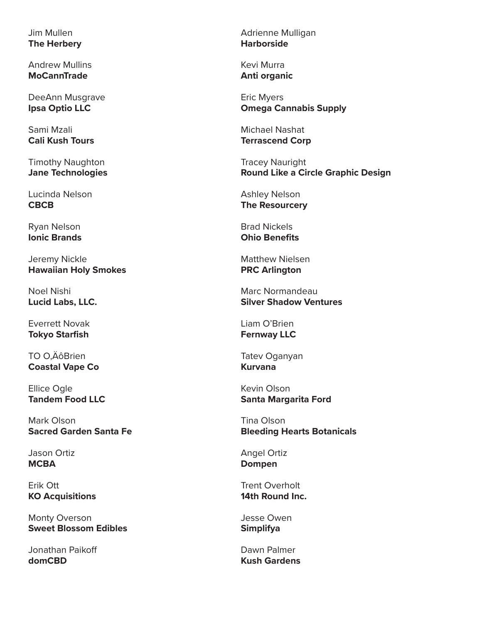Jim Mullen **The Herbery**

Andrew Mullins **MoCannTrade**

DeeAnn Musgrave **Ipsa Optio LLC**

Sami Mzali **Cali Kush Tours**

Timothy Naughton **Jane Technologies**

Lucinda Nelson **CBCB**

Ryan Nelson **Ionic Brands**

Jeremy Nickle **Hawaiian Holy Smokes**

Noel Nishi **Lucid Labs, LLC.**

Everrett Novak **Tokyo Starfish**

TO O.ÄôBrien **Coastal Vape Co**

Ellice Ogle **Tandem Food LLC**

Mark Olson **Sacred Garden Santa Fe**

Jason Ortiz **MCBA**

Erik Ott **KO Acquisitions**

Monty Overson **Sweet Blossom Edibles**

Jonathan Paikoff **domCBD**

Adrienne Mulligan **Harborside**

Kevi Murra **Anti organic**

Eric Myers **Omega Cannabis Supply**

Michael Nashat **Terrascend Corp**

Tracey Nauright **Round Like a Circle Graphic Design**

Ashley Nelson **The Resourcery**

Brad Nickels **Ohio Benefits**

Matthew Nielsen **PRC Arlington**

Marc Normandeau **Silver Shadow Ventures**

Liam O'Brien **Fernway LLC**

Tatev Oganyan **Kurvana**

Kevin Olson **Santa Margarita Ford**

Tina Olson **Bleeding Hearts Botanicals**

Angel Ortiz **Dompen**

Trent Overholt **14th Round Inc.**

Jesse Owen **Simplifya**

Dawn Palmer **Kush Gardens**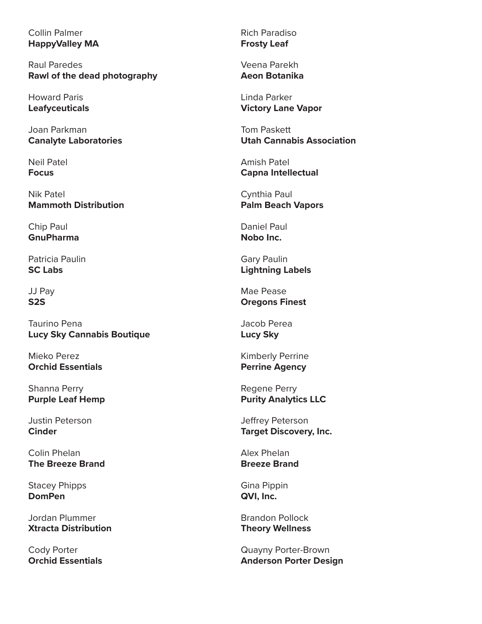# Collin Palmer **HappyValley MA**

Raul Paredes **Rawl of the dead photography**

Howard Paris **Leafyceuticals**

Joan Parkman **Canalyte Laboratories**

Neil Patel **Focus**

Nik Patel **Mammoth Distribution**

Chip Paul **GnuPharma**

Patricia Paulin **SC Labs**

JJ Pay **S2S**

Taurino Pena **Lucy Sky Cannabis Boutique**

Mieko Perez **Orchid Essentials**

Shanna Perry **Purple Leaf Hemp**

Justin Peterson **Cinder**

Colin Phelan **The Breeze Brand**

Stacey Phipps **DomPen**

Jordan Plummer **Xtracta Distribution**

Cody Porter **Orchid Essentials** Rich Paradiso **Frosty Leaf**

Veena Parekh **Aeon Botanika**

Linda Parker **Victory Lane Vapor**

Tom Paskett **Utah Cannabis Association**

Amish Patel **Capna Intellectual**

Cynthia Paul **Palm Beach Vapors**

Daniel Paul **Nobo Inc.**

Gary Paulin **Lightning Labels**

Mae Pease **Oregons Finest**

Jacob Perea **Lucy Sky**

Kimberly Perrine **Perrine Agency**

Regene Perry **Purity Analytics LLC**

Jeffrey Peterson **Target Discovery, Inc.**

Alex Phelan **Breeze Brand**

Gina Pippin **QVI, Inc.**

Brandon Pollock **Theory Wellness**

Quayny Porter-Brown **Anderson Porter Design**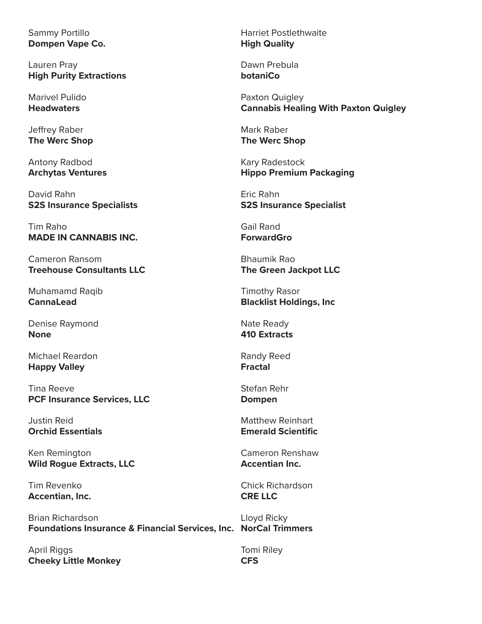Sammy Portillo **Dompen Vape Co.**

Lauren Pray **High Purity Extractions**

Marivel Pulido **Headwaters**

Jeffrey Raber **The Werc Shop**

Antony Radbod **Archytas Ventures**

David Rahn **S2S Insurance Specialists**

Tim Raho **MADE IN CANNABIS INC.**

Cameron Ransom **Treehouse Consultants LLC**

Muhamamd Raqib **CannaLead**

Denise Raymond **None**

Michael Reardon **Happy Valley**

Tina Reeve **PCF Insurance Services, LLC**

Justin Reid **Orchid Essentials**

Ken Remington **Wild Rogue Extracts, LLC**

Tim Revenko **Accentian, Inc.**

Brian Richardson **Foundations Insurance & Financial Services, Inc. NorCal Trimmers**

April Riggs **Cheeky Little Monkey** Harriet Postlethwaite **High Quality**

Dawn Prebula **botaniCo**

Paxton Quigley **Cannabis Healing With Paxton Quigley**

Mark Raber **The Werc Shop**

Kary Radestock **Hippo Premium Packaging**

Eric Rahn **S2S Insurance Specialist**

Gail Rand **ForwardGro**

Bhaumik Rao **The Green Jackpot LLC**

Timothy Rasor **Blacklist Holdings, Inc**

Nate Ready **410 Extracts**

Randy Reed **Fractal**

Stefan Rehr **Dompen**

Matthew Reinhart **Emerald Scientific**

Cameron Renshaw **Accentian Inc.**

Chick Richardson **CRE LLC**

Lloyd Ricky

Tomi Riley **CFS**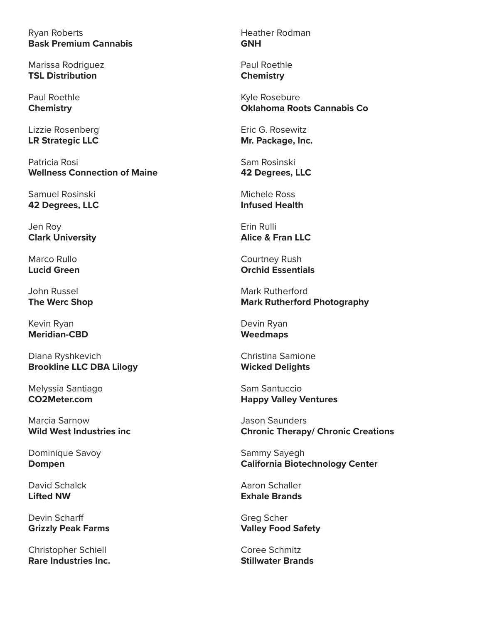Ryan Roberts **Bask Premium Cannabis**

Marissa Rodriguez **TSL Distribution**

Paul Roethle **Chemistry**

Lizzie Rosenberg **LR Strategic LLC**

Patricia Rosi **Wellness Connection of Maine**

Samuel Rosinski **42 Degrees, LLC**

Jen Roy **Clark University**

Marco Rullo **Lucid Green**

John Russel **The Werc Shop**

Kevin Ryan **Meridian-CBD**

Diana Ryshkevich **Brookline LLC DBA Lilogy**

Melyssia Santiago **CO2Meter.com**

Marcia Sarnow **Wild West Industries inc**

Dominique Savoy **Dompen**

David Schalck **Lifted NW**

Devin Scharff **Grizzly Peak Farms**

Christopher Schiell **Rare Industries Inc.**

Heather Rodman **GNH**

Paul Roethle **Chemistry**

Kyle Rosebure **Oklahoma Roots Cannabis Co**

Eric G. Rosewitz **Mr. Package, Inc.**

Sam Rosinski **42 Degrees, LLC**

Michele Ross **Infused Health**

Erin Rulli **Alice & Fran LLC**

Courtney Rush **Orchid Essentials**

Mark Rutherford **Mark Rutherford Photography**

Devin Ryan **Weedmaps**

Christina Samione **Wicked Delights**

Sam Santuccio **Happy Valley Ventures**

Jason Saunders **Chronic Therapy/ Chronic Creations**

Sammy Sayegh **California Biotechnology Center**

Aaron Schaller **Exhale Brands**

Greg Scher **Valley Food Safety**

Coree Schmitz **Stillwater Brands**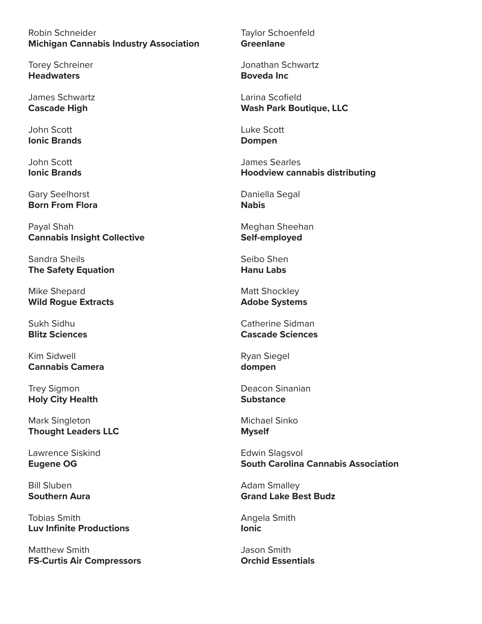Robin Schneider **Michigan Cannabis Industry Association**

Torey Schreiner **Headwaters**

James Schwartz **Cascade High**

John Scott **Ionic Brands**

John Scott **Ionic Brands**

Gary Seelhorst **Born From Flora**

Payal Shah **Cannabis Insight Collective**

Sandra Sheils **The Safety Equation**

Mike Shepard **Wild Rogue Extracts**

Sukh Sidhu **Blitz Sciences**

Kim Sidwell **Cannabis Camera**

Trey Sigmon **Holy City Health**

Mark Singleton **Thought Leaders LLC**

Lawrence Siskind **Eugene OG**

Bill Sluben **Southern Aura**

Tobias Smith **Luv Infinite Productions**

Matthew Smith **FS-Curtis Air Compressors** Taylor Schoenfeld **Greenlane**

Jonathan Schwartz **Boveda Inc**

Larina Scofield **Wash Park Boutique, LLC**

Luke Scott **Dompen**

James Searles **Hoodview cannabis distributing**

Daniella Segal **Nabis**

Meghan Sheehan **Self-employed**

Seibo Shen **Hanu Labs**

Matt Shockley **Adobe Systems**

Catherine Sidman **Cascade Sciences**

Ryan Siegel **dompen**

Deacon Sinanian **Substance**

Michael Sinko **Myself**

Edwin Slagsvol **South Carolina Cannabis Association**

Adam Smalley **Grand Lake Best Budz**

Angela Smith **Ionic**

Jason Smith **Orchid Essentials**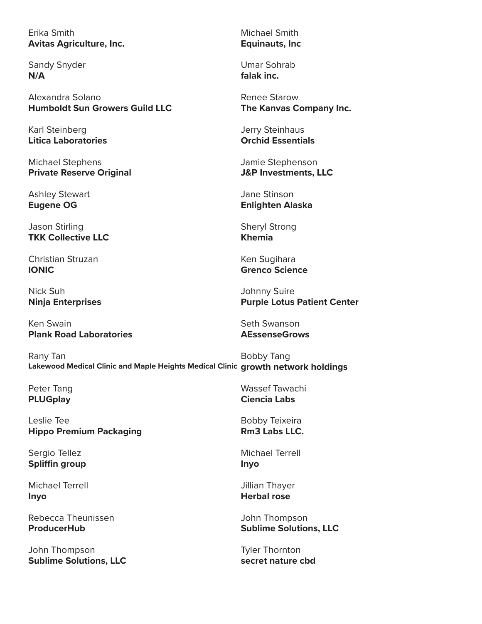# Erika Smith **Avitas Agriculture, Inc.**

Sandy Snyder **N/A**

Alexandra Solano **Humboldt Sun Growers Guild LLC**

Karl Steinberg **Litica Laboratories**

Michael Stephens **Private Reserve Original**

Ashley Stewart **Eugene OG**

Jason Stirling **TKK Collective LLC**

Christian Struzan **IONIC**

Nick Suh **Ninja Enterprises**

Ken Swain **Plank Road Laboratories**

Rany Tan Bobby Tang

Peter Tang **PLUGplay**

Leslie Tee **Hippo Premium Packaging**

Sergio Tellez **Spliffin group**

Michael Terrell **Inyo**

Rebecca Theunissen **ProducerHub**

John Thompson **Sublime Solutions, LLC** Michael Smith **Equinauts, Inc**

Umar Sohrab **falak inc.**

Renee Starow **The Kanvas Company Inc.**

Jerry Steinhaus **Orchid Essentials**

Jamie Stephenson **J&P Investments, LLC**

Jane Stinson **Enlighten Alaska**

Sheryl Strong **Khemia**

Ken Sugihara **Grenco Science**

Johnny Suire **Purple Lotus Patient Center**

Seth Swanson **AEssenseGrows**

**Lakewood Medical Clinic and Maple Heights Medical Clinic growth network holdings**

Wassef Tawachi **Ciencia Labs**

Bobby Teixeira **Rm3 Labs LLC.**

Michael Terrell **Inyo**

Jillian Thayer **Herbal rose**

John Thompson **Sublime Solutions, LLC**

Tyler Thornton **secret nature cbd**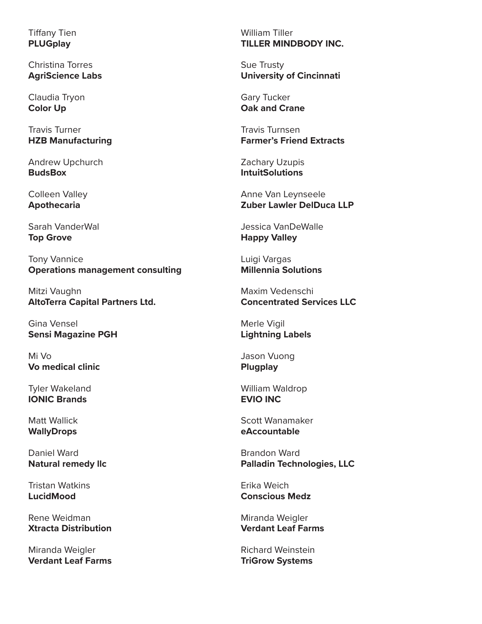Tiffany Tien **PLUGplay**

Christina Torres **AgriScience Labs**

Claudia Tryon **Color Up**

Travis Turner **HZB Manufacturing**

Andrew Upchurch **BudsBox**

Colleen Valley **Apothecaria**

Sarah VanderWal **Top Grove**

Tony Vannice **Operations management consulting**

Mitzi Vaughn **AltoTerra Capital Partners Ltd.**

Gina Vensel **Sensi Magazine PGH**

Mi Vo **Vo medical clinic**

Tyler Wakeland **IONIC Brands**

Matt Wallick **WallyDrops**

Daniel Ward **Natural remedy llc**

Tristan Watkins **LucidMood**

Rene Weidman **Xtracta Distribution**

Miranda Weigler **Verdant Leaf Farms** William Tiller **TILLER MINDBODY INC.**

Sue Trusty **University of Cincinnati**

Gary Tucker **Oak and Crane**

Travis Turnsen **Farmer's Friend Extracts**

Zachary Uzupis **IntuitSolutions**

Anne Van Leynseele **Zuber Lawler DelDuca LLP**

Jessica VanDeWalle **Happy Valley**

Luigi Vargas **Millennia Solutions**

Maxim Vedenschi **Concentrated Services LLC**

Merle Vigil **Lightning Labels**

Jason Vuong **Plugplay**

William Waldrop **EVIO INC**

Scott Wanamaker **eAccountable**

Brandon Ward **Palladin Technologies, LLC**

Erika Weich **Conscious Medz**

Miranda Weigler **Verdant Leaf Farms**

Richard Weinstein **TriGrow Systems**